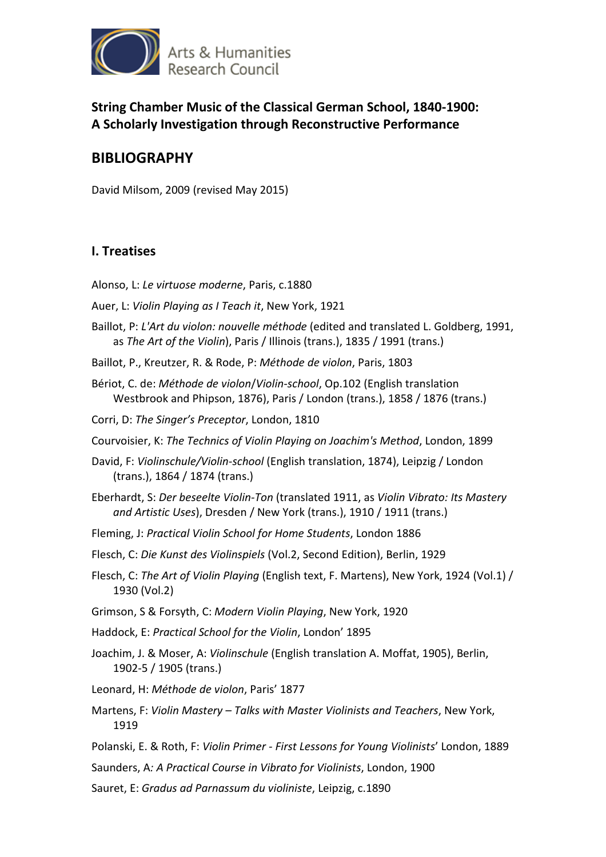

**String Chamber Music of the Classical German School, 1840-1900: A Scholarly Investigation through Reconstructive Performance** 

# **BIBLIOGRAPHY**

David Milsom, 2009 (revised May 2015)

## **I. Treatises**

- Alonso, L: *Le virtuose moderne*, Paris, c.1880
- Auer, L: *Violin Playing as I Teach it*, New York, 1921
- Baillot, P: *L'Art du violon: nouvelle méthode* (edited and translated L. Goldberg, 1991, as *The Art of the Violin*), Paris / Illinois (trans.), 1835 / 1991 (trans.)
- Baillot, P., Kreutzer, R. & Rode, P: *Méthode de violon*, Paris, 1803
- Bériot, C. de: *Méthode de violon*/*Violin-school*, Op.102 (English translation Westbrook and Phipson, 1876), Paris / London (trans.), 1858 / 1876 (trans.)
- Corri, D: *The Singer's Preceptor*, London, 1810
- Courvoisier, K: *The Technics of Violin Playing on Joachim's Method*, London, 1899
- David, F: *Violinschule/Violin-school* (English translation, 1874), Leipzig / London (trans.), 1864 / 1874 (trans.)
- Eberhardt, S: *Der beseelte Violin-Ton* (translated 1911, as *Violin Vibrato: Its Mastery and Artistic Uses*), Dresden / New York (trans.), 1910 / 1911 (trans.)
- Fleming, J: *Practical Violin School for Home Students*, London 1886
- Flesch, C: *Die Kunst des Violinspiels* (Vol.2, Second Edition), Berlin, 1929
- Flesch, C: *The Art of Violin Playing* (English text, F. Martens), New York, 1924 (Vol.1) / 1930 (Vol.2)
- Grimson, S & Forsyth, C: *Modern Violin Playing*, New York, 1920
- Haddock, E: *Practical School for the Violin*, London' 1895
- Joachim, J. & Moser, A: *Violinschule* (English translation A. Moffat, 1905), Berlin, 1902-5 / 1905 (trans.)
- Leonard, H: *Méthode de violon*, Paris' 1877
- Martens, F: *Violin Mastery Talks with Master Violinists and Teachers*, New York, 1919
- Polanski, E. & Roth, F: *Violin Primer First Lessons for Young Violinists*' London, 1889
- Saunders, A*: A Practical Course in Vibrato for Violinists*, London, 1900
- Sauret, E: *Gradus ad Parnassum du violiniste*, Leipzig, c.1890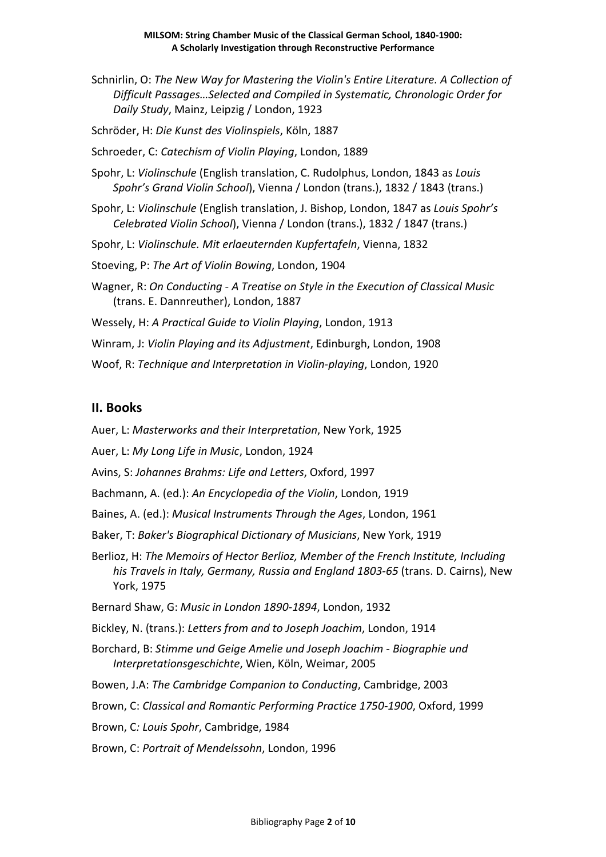Schnirlin, O: *The New Way for Mastering the Violin's Entire Literature. A Collection of Difficult Passages…Selected and Compiled in Systematic, Chronologic Order for Daily Study*, Mainz, Leipzig / London, 1923

Schröder, H: *Die Kunst des Violinspiels*, Köln, 1887

Schroeder, C: *Catechism of Violin Playing*, London, 1889

- Spohr, L: *Violinschule* (English translation, C. Rudolphus, London, 1843 as *Louis Spohr's Grand Violin School*), Vienna / London (trans.), 1832 / 1843 (trans.)
- Spohr, L: *Violinschule* (English translation, J. Bishop, London, 1847 as *Louis Spohr's Celebrated Violin School*), Vienna / London (trans.), 1832 / 1847 (trans.)
- Spohr, L: *Violinschule. Mit erlaeuternden Kupfertafeln*, Vienna, 1832

Stoeving, P: *The Art of Violin Bowing*, London, 1904

- Wagner, R: *On Conducting A Treatise on Style in the Execution of Classical Music* (trans. E. Dannreuther), London, 1887
- Wessely, H: *A Practical Guide to Violin Playing*, London, 1913
- Winram, J: *Violin Playing and its Adjustment*, Edinburgh, London, 1908
- Woof, R: *Technique and Interpretation in Violin-playing*, London, 1920

### **II. Books**

- Auer, L: *Masterworks and their Interpretation*, New York, 1925
- Auer, L: *My Long Life in Music*, London, 1924
- Avins, S: *Johannes Brahms: Life and Letters*, Oxford, 1997
- Bachmann, A. (ed.): *An Encyclopedia of the Violin*, London, 1919
- Baines, A. (ed.): *Musical Instruments Through the Ages*, London, 1961
- Baker, T: *Baker's Biographical Dictionary of Musicians*, New York, 1919
- Berlioz, H: *The Memoirs of Hector Berlioz, Member of the French Institute, Including his Travels in Italy, Germany, Russia and England 1803-65* (trans. D. Cairns), New York, 1975
- Bernard Shaw, G: *Music in London 1890-1894*, London, 1932
- Bickley, N. (trans.): *Letters from and to Joseph Joachim*, London, 1914
- Borchard, B: *Stimme und Geige Amelie und Joseph Joachim Biographie und Interpretationsgeschichte*, Wien, Köln, Weimar, 2005
- Bowen, J.A: *The Cambridge Companion to Conducting*, Cambridge, 2003
- Brown, C: *Classical and Romantic Performing Practice 1750-1900*, Oxford, 1999
- Brown, C*: Louis Spohr*, Cambridge, 1984
- Brown, C: *Portrait of Mendelssohn*, London, 1996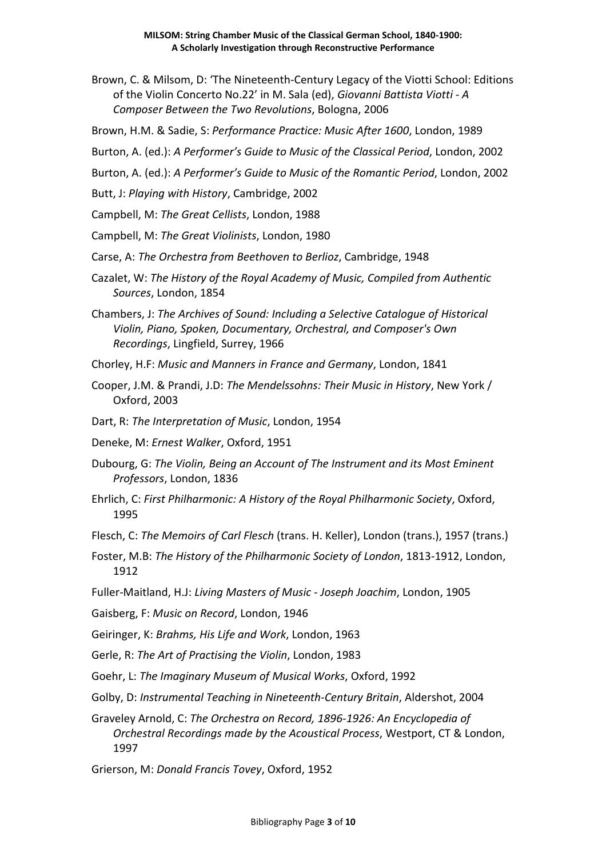- Brown, C. & Milsom, D: 'The Nineteenth-Century Legacy of the Viotti School: Editions of the Violin Concerto No.22' in M. Sala (ed), *Giovanni Battista Viotti - A Composer Between the Two Revolutions*, Bologna, 2006
- Brown, H.M. & Sadie, S: *Performance Practice: Music After 1600*, London, 1989
- Burton, A. (ed.): *A Performer's Guide to Music of the Classical Period*, London, 2002
- Burton, A. (ed.): *A Performer's Guide to Music of the Romantic Period*, London, 2002

Butt, J: *Playing with History*, Cambridge, 2002

- Campbell, M: *The Great Cellists*, London, 1988
- Campbell, M: *The Great Violinists*, London, 1980
- Carse, A: *The Orchestra from Beethoven to Berlioz*, Cambridge, 1948
- Cazalet, W: *The History of the Royal Academy of Music, Compiled from Authentic Sources*, London, 1854
- Chambers, J: *The Archives of Sound: Including a Selective Catalogue of Historical Violin, Piano, Spoken, Documentary, Orchestral, and Composer's Own Recordings*, Lingfield, Surrey, 1966
- Chorley, H.F: *Music and Manners in France and Germany*, London, 1841
- Cooper, J.M. & Prandi, J.D: *The Mendelssohns: Their Music in History*, New York / Oxford, 2003
- Dart, R: *The Interpretation of Music*, London, 1954
- Deneke, M: *Ernest Walker*, Oxford, 1951
- Dubourg, G: *The Violin, Being an Account of The Instrument and its Most Eminent Professors*, London, 1836
- Ehrlich, C: *First Philharmonic: A History of the Royal Philharmonic Society*, Oxford, 1995
- Flesch, C: *The Memoirs of Carl Flesch* (trans. H. Keller), London (trans.), 1957 (trans.)
- Foster, M.B: *The History of the Philharmonic Society of London*, 1813-1912, London, 1912
- Fuller-Maitland, H.J: *Living Masters of Music Joseph Joachim*, London, 1905
- Gaisberg, F: *Music on Record*, London, 1946
- Geiringer, K: *Brahms, His Life and Work*, London, 1963

Gerle, R: *The Art of Practising the Violin*, London, 1983

- Goehr, L: *The Imaginary Museum of Musical Works*, Oxford, 1992
- Golby, D: *Instrumental Teaching in Nineteenth-Century Britain*, Aldershot, 2004
- Graveley Arnold, C: *The Orchestra on Record, 1896-1926: An Encyclopedia of Orchestral Recordings made by the Acoustical Process*, Westport, CT & London, 1997
- Grierson, M: *Donald Francis Tovey*, Oxford, 1952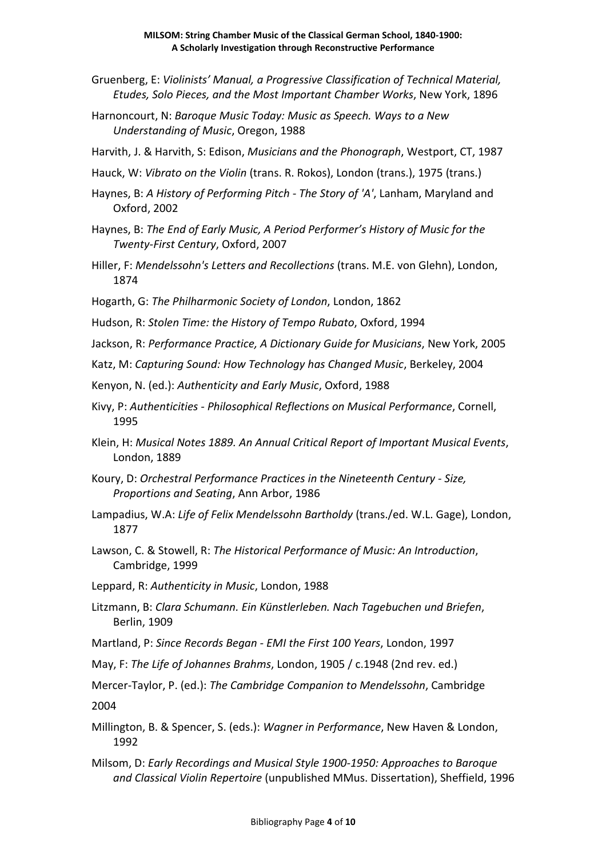- Gruenberg, E: *Violinists' Manual, a Progressive Classification of Technical Material, Etudes, Solo Pieces, and the Most Important Chamber Works*, New York, 1896
- Harnoncourt, N: *Baroque Music Today: Music as Speech. Ways to a New Understanding of Music*, Oregon, 1988
- Harvith, J. & Harvith, S: Edison, *Musicians and the Phonograph*, Westport, CT, 1987
- Hauck, W: *Vibrato on the Violin* (trans. R. Rokos), London (trans.), 1975 (trans.)
- Haynes, B: *A History of Performing Pitch The Story of 'A'*, Lanham, Maryland and Oxford, 2002
- Haynes, B: *The End of Early Music, A Period Performer's History of Music for the Twenty-First Century*, Oxford, 2007
- Hiller, F: *Mendelssohn's Letters and Recollections* (trans. M.E. von Glehn), London, 1874
- Hogarth, G: *The Philharmonic Society of London*, London, 1862
- Hudson, R: *Stolen Time: the History of Tempo Rubato*, Oxford, 1994
- Jackson, R: *Performance Practice, A Dictionary Guide for Musicians*, New York, 2005
- Katz, M: *Capturing Sound: How Technology has Changed Music*, Berkeley, 2004
- Kenyon, N. (ed.): *Authenticity and Early Music*, Oxford, 1988
- Kivy, P: *Authenticities Philosophical Reflections on Musical Performance*, Cornell, 1995
- Klein, H: *Musical Notes 1889. An Annual Critical Report of Important Musical Events*, London, 1889
- Koury, D: *Orchestral Performance Practices in the Nineteenth Century Size, Proportions and Seating*, Ann Arbor, 1986
- Lampadius, W.A: *Life of Felix Mendelssohn Bartholdy* (trans./ed. W.L. Gage), London, 1877
- Lawson, C. & Stowell, R: *The Historical Performance of Music: An Introduction*, Cambridge, 1999
- Leppard, R: *Authenticity in Music*, London, 1988
- Litzmann, B: *Clara Schumann. Ein Künstlerleben. Nach Tagebuchen und Briefen*, Berlin, 1909
- Martland, P: *Since Records Began EMI the First 100 Years*, London, 1997
- May, F: *The Life of Johannes Brahms*, London, 1905 / c.1948 (2nd rev. ed.)

Mercer-Taylor, P. (ed.): *The Cambridge Companion to Mendelssohn*, Cambridge

2004

- Millington, B. & Spencer, S. (eds.): *Wagner in Performance*, New Haven & London, 1992
- Milsom, D: *Early Recordings and Musical Style 1900-1950: Approaches to Baroque and Classical Violin Repertoire* (unpublished MMus. Dissertation), Sheffield, 1996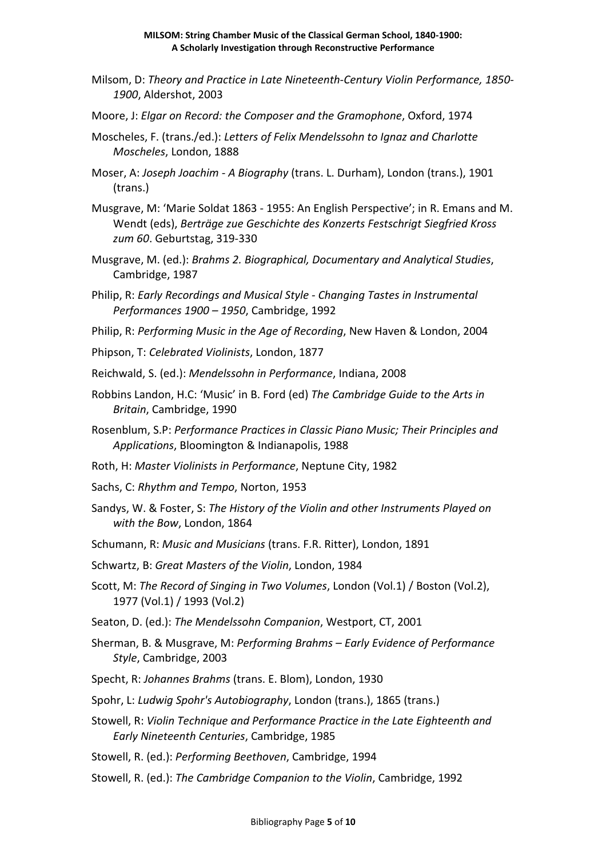- Milsom, D: *Theory and Practice in Late Nineteenth-Century Violin Performance, 1850- 1900*, Aldershot, 2003
- Moore, J: *Elgar on Record: the Composer and the Gramophone*, Oxford, 1974
- Moscheles, F. (trans./ed.): *Letters of Felix Mendelssohn to Ignaz and Charlotte Moscheles*, London, 1888
- Moser, A: *Joseph Joachim A Biography* (trans. L. Durham), London (trans.), 1901 (trans.)
- Musgrave, M: 'Marie Soldat 1863 1955: An English Perspective'; in R. Emans and M. Wendt (eds), *Berträge zue Geschichte des Konzerts Festschrigt Siegfried Kross zum 60*. Geburtstag, 319-330
- Musgrave, M. (ed.): *Brahms 2. Biographical, Documentary and Analytical Studies*, Cambridge, 1987
- Philip, R: *Early Recordings and Musical Style Changing Tastes in Instrumental Performances 1900 – 1950*, Cambridge, 1992
- Philip, R: *Performing Music in the Age of Recording*, New Haven & London, 2004
- Phipson, T: *Celebrated Violinists*, London, 1877
- Reichwald, S. (ed.): *Mendelssohn in Performance*, Indiana, 2008
- Robbins Landon, H.C: 'Music' in B. Ford (ed) *The Cambridge Guide to the Arts in Britain*, Cambridge, 1990
- Rosenblum, S.P: *Performance Practices in Classic Piano Music; Their Principles and Applications*, Bloomington & Indianapolis, 1988
- Roth, H: *Master Violinists in Performance*, Neptune City, 1982
- Sachs, C: *Rhythm and Tempo*, Norton, 1953
- Sandys, W. & Foster, S: *The History of the Violin and other Instruments Played on with the Bow*, London, 1864
- Schumann, R: *Music and Musicians* (trans. F.R. Ritter), London, 1891
- Schwartz, B: *Great Masters of the Violin*, London, 1984
- Scott, M: *The Record of Singing in Two Volumes*, London (Vol.1) / Boston (Vol.2), 1977 (Vol.1) / 1993 (Vol.2)
- Seaton, D. (ed.): *The Mendelssohn Companion*, Westport, CT, 2001
- Sherman, B. & Musgrave, M: *Performing Brahms Early Evidence of Performance Style*, Cambridge, 2003
- Specht, R: *Johannes Brahms* (trans. E. Blom), London, 1930
- Spohr, L: *Ludwig Spohr's Autobiography*, London (trans.), 1865 (trans.)
- Stowell, R: *Violin Technique and Performance Practice in the Late Eighteenth and Early Nineteenth Centuries*, Cambridge, 1985
- Stowell, R. (ed.): *Performing Beethoven*, Cambridge, 1994
- Stowell, R. (ed.): *The Cambridge Companion to the Violin*, Cambridge, 1992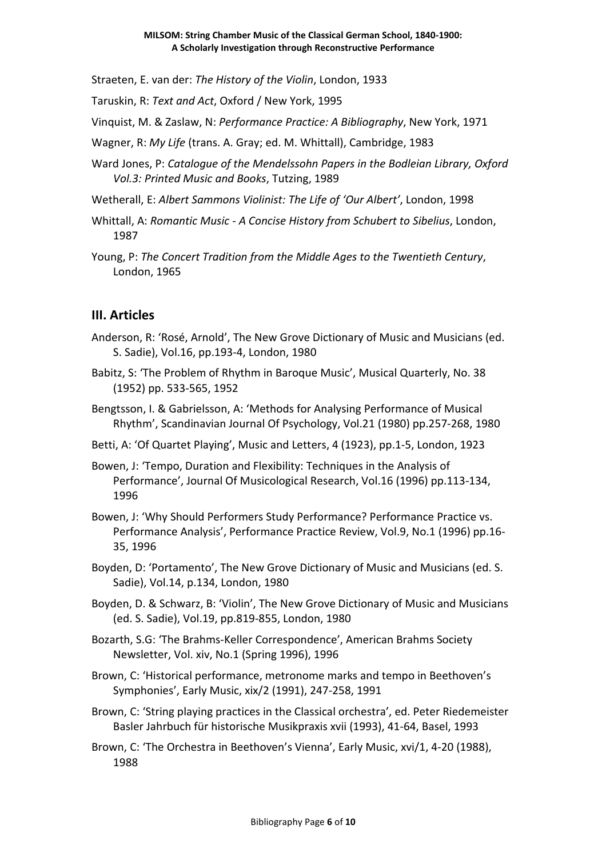Straeten, E. van der: *The History of the Violin*, London, 1933

Taruskin, R: *Text and Act*, Oxford / New York, 1995

Vinquist, M. & Zaslaw, N: *Performance Practice: A Bibliography*, New York, 1971

Wagner, R: *My Life* (trans. A. Gray; ed. M. Whittall), Cambridge, 1983

Ward Jones, P: *Catalogue of the Mendelssohn Papers in the Bodleian Library, Oxford Vol.3: Printed Music and Books*, Tutzing, 1989

Wetherall, E: *Albert Sammons Violinist: The Life of 'Our Albert'*, London, 1998

- Whittall, A: *Romantic Music A Concise History from Schubert to Sibelius*, London, 1987
- Young, P: *The Concert Tradition from the Middle Ages to the Twentieth Century*, London, 1965

### **III. Articles**

- Anderson, R: 'Rosé, Arnold', The New Grove Dictionary of Music and Musicians (ed. S. Sadie), Vol.16, pp.193-4, London, 1980
- Babitz, S: 'The Problem of Rhythm in Baroque Music', Musical Quarterly, No. 38 (1952) pp. 533-565, 1952
- Bengtsson, I. & Gabrielsson, A: 'Methods for Analysing Performance of Musical Rhythm', Scandinavian Journal Of Psychology, Vol.21 (1980) pp.257-268, 1980
- Betti, A: 'Of Quartet Playing', Music and Letters, 4 (1923), pp.1-5, London, 1923
- Bowen, J: 'Tempo, Duration and Flexibility: Techniques in the Analysis of Performance', Journal Of Musicological Research, Vol.16 (1996) pp.113-134, 1996
- Bowen, J: 'Why Should Performers Study Performance? Performance Practice vs. Performance Analysis', Performance Practice Review, Vol.9, No.1 (1996) pp.16- 35, 1996
- Boyden, D: 'Portamento', The New Grove Dictionary of Music and Musicians (ed. S. Sadie), Vol.14, p.134, London, 1980
- Boyden, D. & Schwarz, B: 'Violin', The New Grove Dictionary of Music and Musicians (ed. S. Sadie), Vol.19, pp.819-855, London, 1980
- Bozarth, S.G: 'The Brahms-Keller Correspondence', American Brahms Society Newsletter, Vol. xiv, No.1 (Spring 1996), 1996
- Brown, C: 'Historical performance, metronome marks and tempo in Beethoven's Symphonies', Early Music, xix/2 (1991), 247-258, 1991
- Brown, C: 'String playing practices in the Classical orchestra', ed. Peter Riedemeister Basler Jahrbuch für historische Musikpraxis xvii (1993), 41-64, Basel, 1993
- Brown, C: 'The Orchestra in Beethoven's Vienna', Early Music, xvi/1, 4-20 (1988), 1988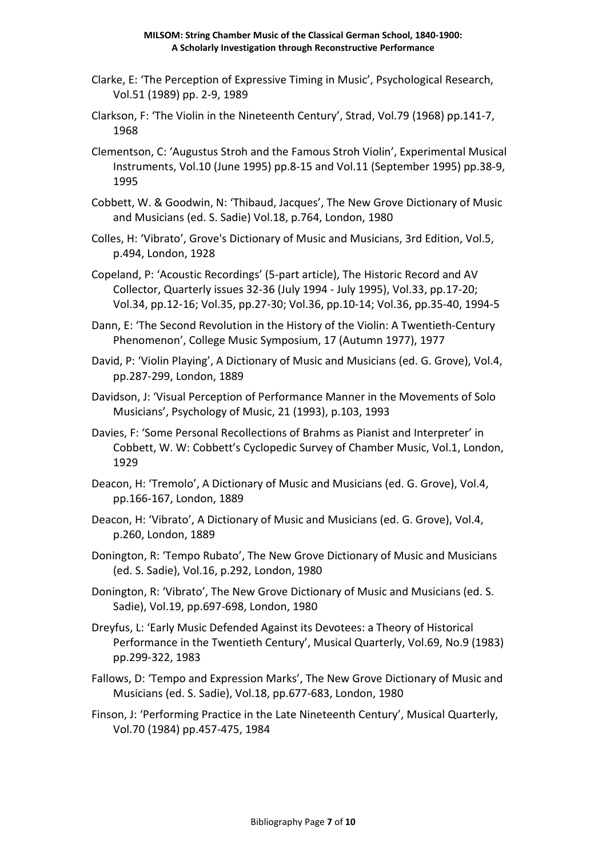#### **MILSOM: String Chamber Music of the Classical German School, 1840-1900: A Scholarly Investigation through Reconstructive Performance**

- Clarke, E: 'The Perception of Expressive Timing in Music', Psychological Research, Vol.51 (1989) pp. 2-9, 1989
- Clarkson, F: 'The Violin in the Nineteenth Century', Strad, Vol.79 (1968) pp.141-7, 1968
- Clementson, C: 'Augustus Stroh and the Famous Stroh Violin', Experimental Musical Instruments, Vol.10 (June 1995) pp.8-15 and Vol.11 (September 1995) pp.38-9, 1995
- Cobbett, W. & Goodwin, N: 'Thibaud, Jacques', The New Grove Dictionary of Music and Musicians (ed. S. Sadie) Vol.18, p.764, London, 1980
- Colles, H: 'Vibrato', Grove's Dictionary of Music and Musicians, 3rd Edition, Vol.5, p.494, London, 1928
- Copeland, P: 'Acoustic Recordings' (5-part article), The Historic Record and AV Collector, Quarterly issues 32-36 (July 1994 - July 1995), Vol.33, pp.17-20; Vol.34, pp.12-16; Vol.35, pp.27-30; Vol.36, pp.10-14; Vol.36, pp.35-40, 1994-5
- Dann, E: 'The Second Revolution in the History of the Violin: A Twentieth-Century Phenomenon', College Music Symposium, 17 (Autumn 1977), 1977
- David, P: 'Violin Playing', A Dictionary of Music and Musicians (ed. G. Grove), Vol.4, pp.287-299, London, 1889
- Davidson, J: 'Visual Perception of Performance Manner in the Movements of Solo Musicians', Psychology of Music, 21 (1993), p.103, 1993
- Davies, F: 'Some Personal Recollections of Brahms as Pianist and Interpreter' in Cobbett, W. W: Cobbett's Cyclopedic Survey of Chamber Music, Vol.1, London, 1929
- Deacon, H: 'Tremolo', A Dictionary of Music and Musicians (ed. G. Grove), Vol.4, pp.166-167, London, 1889
- Deacon, H: 'Vibrato', A Dictionary of Music and Musicians (ed. G. Grove), Vol.4, p.260, London, 1889
- Donington, R: 'Tempo Rubato', The New Grove Dictionary of Music and Musicians (ed. S. Sadie), Vol.16, p.292, London, 1980
- Donington, R: 'Vibrato', The New Grove Dictionary of Music and Musicians (ed. S. Sadie), Vol.19, pp.697-698, London, 1980
- Dreyfus, L: 'Early Music Defended Against its Devotees: a Theory of Historical Performance in the Twentieth Century', Musical Quarterly, Vol.69, No.9 (1983) pp.299-322, 1983
- Fallows, D: 'Tempo and Expression Marks', The New Grove Dictionary of Music and Musicians (ed. S. Sadie), Vol.18, pp.677-683, London, 1980
- Finson, J: 'Performing Practice in the Late Nineteenth Century', Musical Quarterly, Vol.70 (1984) pp.457-475, 1984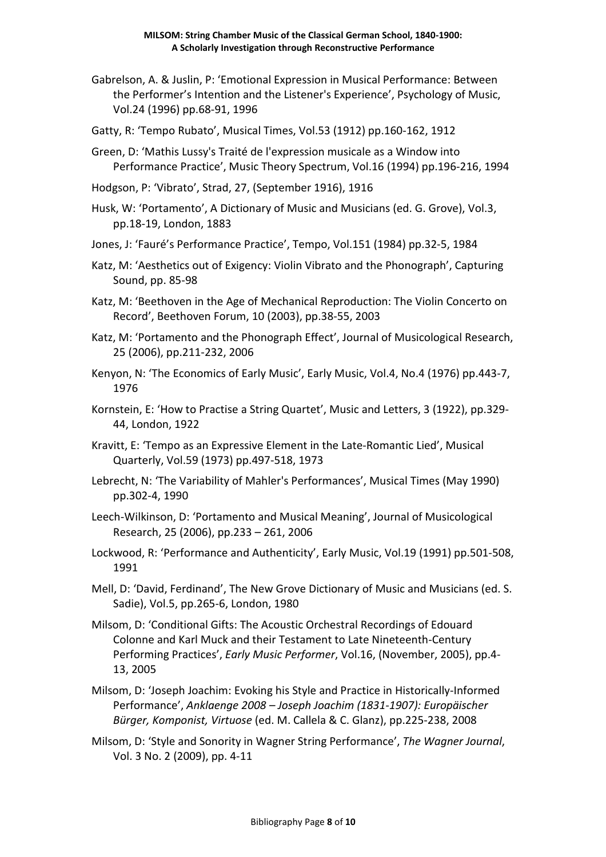- Gabrelson, A. & Juslin, P: 'Emotional Expression in Musical Performance: Between the Performer's Intention and the Listener's Experience', Psychology of Music, Vol.24 (1996) pp.68-91, 1996
- Gatty, R: 'Tempo Rubato', Musical Times, Vol.53 (1912) pp.160-162, 1912
- Green, D: 'Mathis Lussy's Traité de l'expression musicale as a Window into Performance Practice', Music Theory Spectrum, Vol.16 (1994) pp.196-216, 1994
- Hodgson, P: 'Vibrato', Strad, 27, (September 1916), 1916
- Husk, W: 'Portamento', A Dictionary of Music and Musicians (ed. G. Grove), Vol.3, pp.18-19, London, 1883
- Jones, J: 'Fauré's Performance Practice', Tempo, Vol.151 (1984) pp.32-5, 1984
- Katz, M: 'Aesthetics out of Exigency: Violin Vibrato and the Phonograph', Capturing Sound, pp. 85-98
- Katz, M: 'Beethoven in the Age of Mechanical Reproduction: The Violin Concerto on Record', Beethoven Forum, 10 (2003), pp.38-55, 2003
- Katz, M: 'Portamento and the Phonograph Effect', Journal of Musicological Research, 25 (2006), pp.211-232, 2006
- Kenyon, N: 'The Economics of Early Music', Early Music, Vol.4, No.4 (1976) pp.443-7, 1976
- Kornstein, E: 'How to Practise a String Quartet', Music and Letters, 3 (1922), pp.329- 44, London, 1922
- Kravitt, E: 'Tempo as an Expressive Element in the Late-Romantic Lied', Musical Quarterly, Vol.59 (1973) pp.497-518, 1973
- Lebrecht, N: 'The Variability of Mahler's Performances', Musical Times (May 1990) pp.302-4, 1990
- Leech-Wilkinson, D: 'Portamento and Musical Meaning', Journal of Musicological Research, 25 (2006), pp.233 – 261, 2006
- Lockwood, R: 'Performance and Authenticity', Early Music, Vol.19 (1991) pp.501-508, 1991
- Mell, D: 'David, Ferdinand', The New Grove Dictionary of Music and Musicians (ed. S. Sadie), Vol.5, pp.265-6, London, 1980
- Milsom, D: 'Conditional Gifts: The Acoustic Orchestral Recordings of Edouard Colonne and Karl Muck and their Testament to Late Nineteenth-Century Performing Practices', *Early Music Performer*, Vol.16, (November, 2005), pp.4- 13, 2005
- Milsom, D: 'Joseph Joachim: Evoking his Style and Practice in Historically-Informed Performance', *Anklaenge 2008 – Joseph Joachim (1831-1907): Europäischer Bürger, Komponist, Virtuose* (ed. M. Callela & C. Glanz), pp.225-238, 2008
- Milsom, D: 'Style and Sonority in Wagner String Performance', *The Wagner Journal*, Vol. 3 No. 2 (2009), pp. 4-11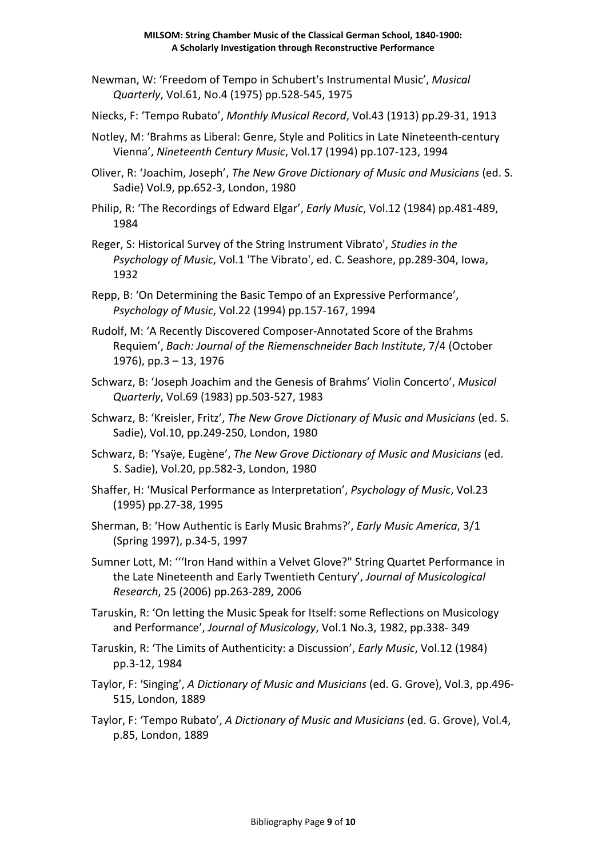- Newman, W: 'Freedom of Tempo in Schubert's Instrumental Music', *Musical Quarterly*, Vol.61, No.4 (1975) pp.528-545, 1975
- Niecks, F: 'Tempo Rubato', *Monthly Musical Record*, Vol.43 (1913) pp.29-31, 1913
- Notley, M: 'Brahms as Liberal: Genre, Style and Politics in Late Nineteenth-century Vienna', *Nineteenth Century Music*, Vol.17 (1994) pp.107-123, 1994
- Oliver, R: 'Joachim, Joseph', *The New Grove Dictionary of Music and Musicians* (ed. S. Sadie) Vol.9, pp.652-3, London, 1980
- Philip, R: 'The Recordings of Edward Elgar', *Early Music*, Vol.12 (1984) pp.481-489, 1984
- Reger, S: Historical Survey of the String Instrument Vibrato', *Studies in the Psychology of Music*, Vol.1 'The Vibrato', ed. C. Seashore, pp.289-304, Iowa, 1932
- Repp, B: 'On Determining the Basic Tempo of an Expressive Performance', *Psychology of Music*, Vol.22 (1994) pp.157-167, 1994
- Rudolf, M: 'A Recently Discovered Composer-Annotated Score of the Brahms Requiem', *Bach: Journal of the Riemenschneider Bach Institute*, 7/4 (October 1976), pp.3 – 13, 1976
- Schwarz, B: 'Joseph Joachim and the Genesis of Brahms' Violin Concerto', *Musical Quarterly*, Vol.69 (1983) pp.503-527, 1983
- Schwarz, B: 'Kreisler, Fritz', *The New Grove Dictionary of Music and Musicians* (ed. S. Sadie), Vol.10, pp.249-250, London, 1980
- Schwarz, B: 'Ysaÿe, Eugène', *The New Grove Dictionary of Music and Musicians* (ed. S. Sadie), Vol.20, pp.582-3, London, 1980
- Shaffer, H: 'Musical Performance as Interpretation', *Psychology of Music*, Vol.23 (1995) pp.27-38, 1995
- Sherman, B: 'How Authentic is Early Music Brahms?', *Early Music America*, 3/1 (Spring 1997), p.34-5, 1997
- Sumner Lott, M: '''Iron Hand within a Velvet Glove?" String Quartet Performance in the Late Nineteenth and Early Twentieth Century', *Journal of Musicological Research*, 25 (2006) pp.263-289, 2006
- Taruskin, R: 'On letting the Music Speak for Itself: some Reflections on Musicology and Performance', *Journal of Musicology*, Vol.1 No.3, 1982, pp.338- 349
- Taruskin, R: 'The Limits of Authenticity: a Discussion', *Early Music*, Vol.12 (1984) pp.3-12, 1984
- Taylor, F: 'Singing', *A Dictionary of Music and Musicians* (ed. G. Grove), Vol.3, pp.496- 515, London, 1889
- Taylor, F: 'Tempo Rubato', *A Dictionary of Music and Musicians* (ed. G. Grove), Vol.4, p.85, London, 1889